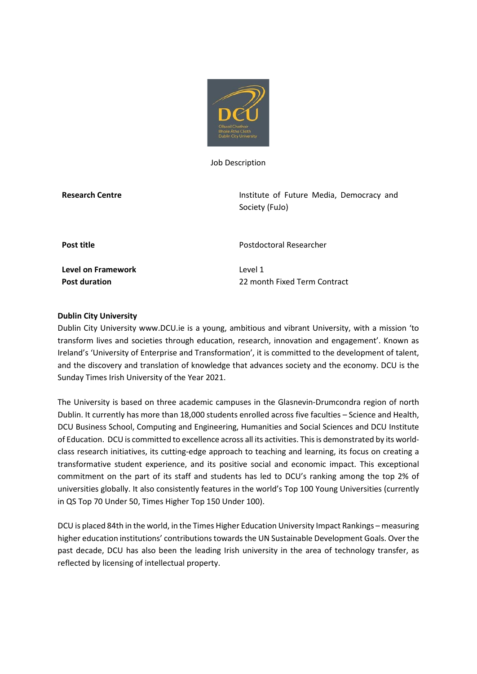

Job Description

**Research Centre Institute of Future Media, Democracy and Session Article Media, Democracy and** Society (FuJo)

**Level on Framework** Level 1

**Post title Post of Postal Researcher** 

**Post duration** 22 month Fixed Term Contract

## **Dublin City University**

Dublin City University www.DCU.ie is a young, ambitious and vibrant University, with a mission 'to transform lives and societies through education, research, innovation and engagement'. Known as Ireland's 'University of Enterprise and Transformation', it is committed to the development of talent, and the discovery and translation of knowledge that advances society and the economy. DCU is the Sunday Times Irish University of the Year 2021.

The University is based on three academic campuses in the Glasnevin-Drumcondra region of north Dublin. It currently has more than 18,000 students enrolled across five faculties – Science and Health, DCU Business School, Computing and Engineering, Humanities and Social Sciences and DCU Institute of Education. DCU is committed to excellence across all its activities. This is demonstrated by its worldclass research initiatives, its cutting-edge approach to teaching and learning, its focus on creating a transformative student experience, and its positive social and economic impact. This exceptional commitment on the part of its staff and students has led to DCU's ranking among the top 2% of universities globally. It also consistently features in the world's Top 100 Young Universities (currently in QS Top 70 Under 50, Times Higher Top 150 Under 100).

DCU is placed 84th in the world, in the Times Higher Education University Impact Rankings – measuring higher education institutions' contributions towards the UN Sustainable Development Goals. Over the past decade, DCU has also been the leading Irish university in the area of technology transfer, as reflected by licensing of intellectual property.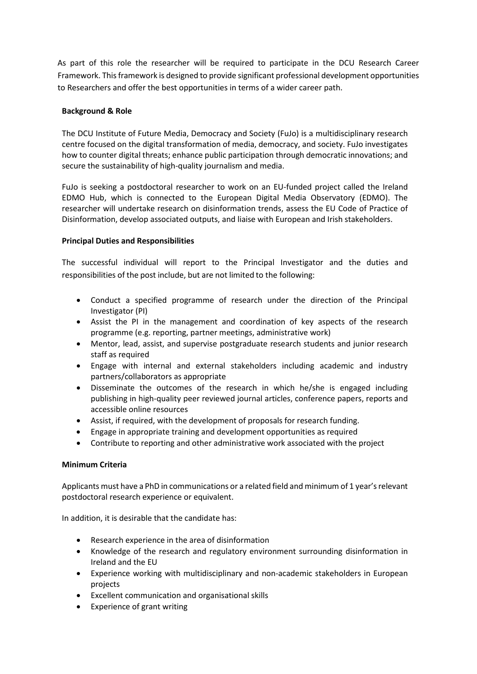As part of this role the researcher will be required to participate in the DCU Research Career Framework. This framework is designed to provide significant professional development opportunities to Researchers and offer the best opportunities in terms of a wider career path.

## **Background & Role**

The DCU Institute of Future Media, Democracy and Society (FuJo) is a multidisciplinary research centre focused on the digital transformation of media, democracy, and society. FuJo investigates how to counter digital threats; enhance public participation through democratic innovations; and secure the sustainability of high-quality journalism and media.

FuJo is seeking a postdoctoral researcher to work on an EU-funded project called the Ireland EDMO Hub, which is connected to the European Digital Media Observatory (EDMO). The researcher will undertake research on disinformation trends, assess the EU Code of Practice of Disinformation, develop associated outputs, and liaise with European and Irish stakeholders.

## **Principal Duties and Responsibilities**

The successful individual will report to the Principal Investigator and the duties and responsibilities of the post include, but are not limited to the following:

- Conduct a specified programme of research under the direction of the Principal Investigator (PI)
- Assist the PI in the management and coordination of key aspects of the research programme (e.g. reporting, partner meetings, administrative work)
- Mentor, lead, assist, and supervise postgraduate research students and junior research staff as required
- Engage with internal and external stakeholders including academic and industry partners/collaborators as appropriate
- Disseminate the outcomes of the research in which he/she is engaged including publishing in high-quality peer reviewed journal articles, conference papers, reports and accessible online resources
- Assist, if required, with the development of proposals for research funding.
- Engage in appropriate training and development opportunities as required
- Contribute to reporting and other administrative work associated with the project

# **Minimum Criteria**

Applicants must have a PhD in communications or a related field and minimum of 1 year's relevant postdoctoral research experience or equivalent.

In addition, it is desirable that the candidate has:

- Research experience in the area of disinformation
- Knowledge of the research and regulatory environment surrounding disinformation in Ireland and the EU
- Experience working with multidisciplinary and non-academic stakeholders in European projects
- Excellent communication and organisational skills
- Experience of grant writing